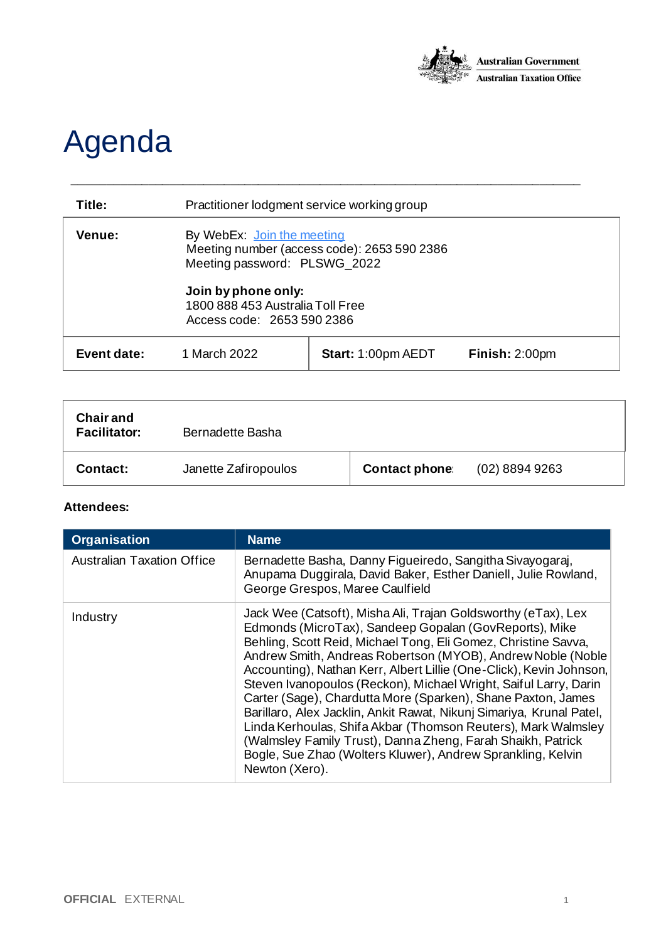

## Agenda

| Title:      | Practitioner lodgment service working group                                                                                                                                                        |                           |                |
|-------------|----------------------------------------------------------------------------------------------------------------------------------------------------------------------------------------------------|---------------------------|----------------|
| Venue:      | By WebEx: Join the meeting<br>Meeting number (access code): 2653 590 2386<br>Meeting password: PLSWG_2022<br>Join by phone only:<br>1800 888 453 Australia Toll Free<br>Access code: 2653 590 2386 |                           |                |
| Event date: | 1 March 2022                                                                                                                                                                                       | <b>Start: 1:00pm AEDT</b> | Finish: 2:00pm |

\_\_\_\_\_\_\_\_\_\_\_\_\_\_\_\_\_\_\_\_\_\_\_\_\_\_\_\_\_\_\_\_\_\_\_\_\_\_\_\_\_\_\_\_\_\_\_\_\_\_\_\_\_\_\_\_\_\_\_\_\_\_\_\_\_\_\_\_\_\_\_\_\_\_

| <b>Chair and</b><br><b>Facilitator:</b> | Bernadette Basha     |                       |                  |
|-----------------------------------------|----------------------|-----------------------|------------------|
| Contact:                                | Janette Zafiropoulos | <b>Contact phone:</b> | $(02)$ 8894 9263 |

## **Attendees:**

| <b>Organisation</b>               | <b>Name</b>                                                                                                                                                                                                                                                                                                                                                                                                                                                                                                                                                                                                                                                                                                                                                  |
|-----------------------------------|--------------------------------------------------------------------------------------------------------------------------------------------------------------------------------------------------------------------------------------------------------------------------------------------------------------------------------------------------------------------------------------------------------------------------------------------------------------------------------------------------------------------------------------------------------------------------------------------------------------------------------------------------------------------------------------------------------------------------------------------------------------|
| <b>Australian Taxation Office</b> | Bernadette Basha, Danny Figueiredo, Sangitha Sivayogaraj,<br>Anupama Duggirala, David Baker, Esther Daniell, Julie Rowland,<br>George Grespos, Maree Caulfield                                                                                                                                                                                                                                                                                                                                                                                                                                                                                                                                                                                               |
| Industry                          | Jack Wee (Catsoft), Misha Ali, Trajan Goldsworthy (eTax), Lex<br>Edmonds (MicroTax), Sandeep Gopalan (GovReports), Mike<br>Behling, Scott Reid, Michael Tong, Eli Gomez, Christine Savva,<br>Andrew Smith, Andreas Robertson (MYOB), Andrew Noble (Noble<br>Accounting), Nathan Kerr, Albert Lillie (One-Click), Kevin Johnson,<br>Steven Ivanopoulos (Reckon), Michael Wright, Saiful Larry, Darin<br>Carter (Sage), Chardutta More (Sparken), Shane Paxton, James<br>Barillaro, Alex Jacklin, Ankit Rawat, Nikunj Simariya, Krunal Patel,<br>Linda Kerhoulas, Shifa Akbar (Thomson Reuters), Mark Walmsley<br>(Walmsley Family Trust), Danna Zheng, Farah Shaikh, Patrick<br>Bogle, Sue Zhao (Wolters Kluwer), Andrew Sprankling, Kelvin<br>Newton (Xero). |